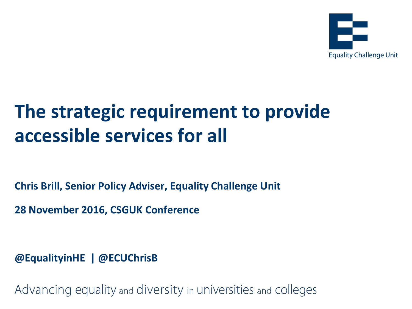

# **The strategic requirement to provide accessible services for all**

**Chris Brill, Senior Policy Adviser, Equality Challenge Unit**

**28 November 2016, CSGUK Conference**

**@EqualityinHE | @ECUChrisB**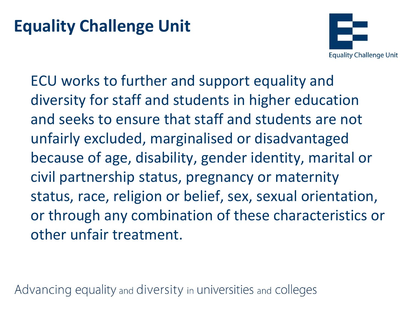### **Equality Challenge Unit**



ECU works to further and support equality and diversity for staff and students in higher education and seeks to ensure that staff and students are not unfairly excluded, marginalised or disadvantaged because of age, disability, gender identity, marital or civil partnership status, pregnancy or maternity status, race, religion or belief, sex, sexual orientation, or through any combination of these characteristics or other unfair treatment.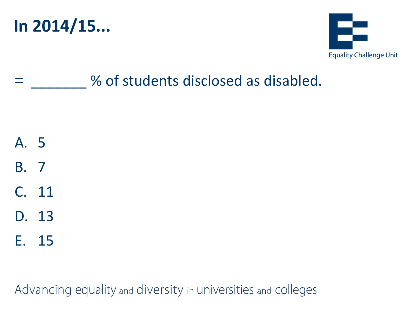



### % of students disclosed as disabled.

- A. 5
- B. 7
- C. 11
- D. 13
- E. 15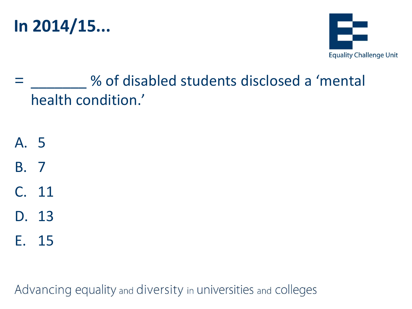



- % of disabled students disclosed a 'mental health condition.'
- A. 5
- B. 7
- C. 11
- D. 13
- E. 15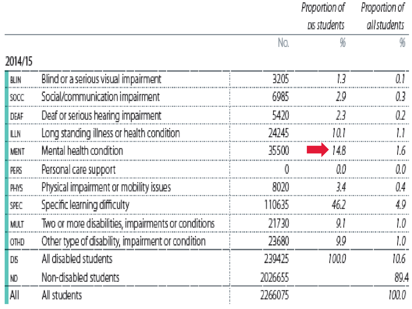|             |                                                     |         | Proportion of | Proportion of |
|-------------|-----------------------------------------------------|---------|---------------|---------------|
|             |                                                     |         | ps students   | all students  |
|             |                                                     | No.     | ₩             |               |
| 2014/15     |                                                     |         |               |               |
| BLIN        | Blind or a serious visual impairment                | 3205    |               |               |
| <b>SOCC</b> | Social/communication impairment                     | 6985    | 29            | 03            |
| DEAF        | Deaf or serious hearing impairment                  | 5420    | 23            | 02            |
| LLN.        | Long standing illness or health condition           | 24245   | 10.1          |               |
| <b>MENT</b> | Mental health condition                             | 35500   | 148           |               |
| <b>PERS</b> | Personal care support                               |         | 00            | ΩO.           |
| <b>PHYS</b> | Physical impairment or mobility issues              | 8020    | 34            | 04            |
| SPEC        | Specific learning difficulty                        | 110635  | 46.2          | 49.           |
| MULT        | Two or more disabilities, impairments or conditions | 21730   | 91            |               |
| OTHD        | Other type of disability, impairment or condition   | 23680   | 99            | IJ            |
| DB          | All disabled students                               | 239425  | 100.0         | 10.6          |
| ND.         | Non-disabled students                               | 2026655 |               | 89.4          |
| All         | All students                                        | 2266075 |               | 100.0         |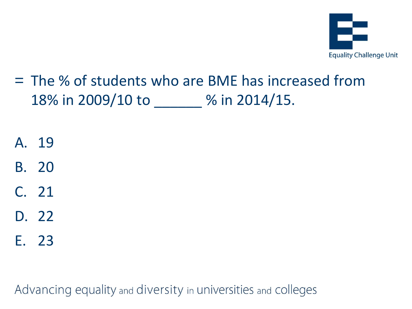

- = The % of students who are BME has increased from 18% in 2009/10 to \_\_\_\_\_\_ % in 2014/15.
- A. 19
- B. 20
- C. 21
- D. 22
- E. 23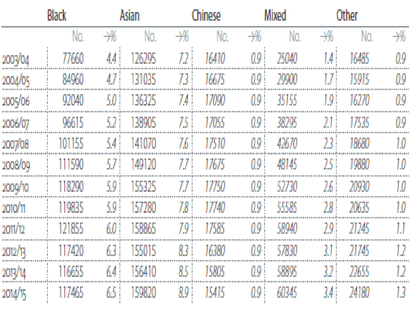|         | Asian<br>Black |     |        | Chinese |       | Mixed            |       | Other |       |                            |
|---------|----------------|-----|--------|---------|-------|------------------|-------|-------|-------|----------------------------|
|         | No.            | ₩   | No.    | ₩       | No.   | $\rightarrow$    | No.   | 淄     | No.   | $\rightarrow\!\!\!\!\!\!N$ |
| 2003/04 | 77660          | 44  | 26295  | 72      | 16410 | 0.9              | 25040 | 14    | 16485 | 00                         |
| 2004/05 | 84960          | 47  | 131035 | 73      | 16675 | 0.9              | 29900 | 17.   | 15915 | 09                         |
| 2005/06 | 92040          | 50. | 136325 | 74      | 17090 | 09               | 35155 | 19.   | 16270 | 09                         |
| 2006/07 | 96615          | 52  | 138905 | 75      | 17055 | O9               | 38295 | 21    | 17535 | 09                         |
| 2007/08 | 101155         | 54  | 141070 | 76      | 17510 | 0.9              | 42670 | 23.   | 18680 | 10                         |
| 2008/09 | 111590         | 57  | 149120 | 77 :    | 7675  | ΩQ               | 48145 | 251   | 19880 | 10                         |
| 2009/10 | 18290          | 59  | 155325 |         | 7750  | 09               | 52730 | 26.   | 20930 | 10                         |
| 2010/11 | 110835         | 5,9 | 157280 | 78      | 17740 | 09               | 55585 | 28    | 20635 | 10                         |
| 2011/12 | 121855         | 6.0 | 158865 | 79      | 17585 | 09               | 58940 | 291   | 21245 |                            |
| 2012/13 | 117420         | 63  | 155015 | 83 !    | 16380 | 09               | 57830 | 71    | 21745 | 17                         |
| 2013    | 16655          |     |        | 85      | 15805 |                  | 58895 |       | 22655 |                            |
| 2014/15 | 117465         | 65  | 159820 | 89      | 15415 | 0.9 <sub>1</sub> | 60345 | 34)   | 24180 | IJ                         |
|         |                |     |        |         |       |                  |       |       |       |                            |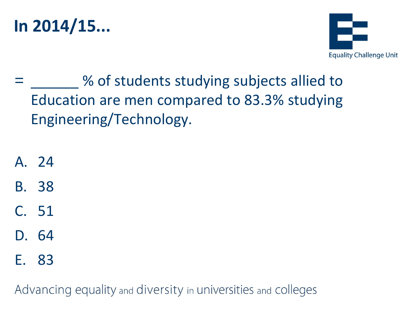



- = \_\_\_\_\_\_ % of students studying subjects allied to Education are men compared to 83.3% studying Engineering/Technology.
- A. 24
- B. 38
- C. 51
- D. 64
- E. 83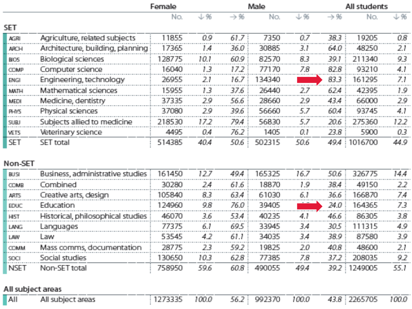|             |                                  | Female |      |                 | Male   |      | All students    |              |      |
|-------------|----------------------------------|--------|------|-----------------|--------|------|-----------------|--------------|------|
|             |                                  | No.    | 业务   | $\rightarrow$ % | No.    | 山%   | $\rightarrow$ % | No.          | 业务   |
| SET.        |                                  |        |      |                 |        |      |                 |              |      |
| AGRI.       | Agriculture, related subjects    | 1855   | 0.9  | 61.7:           | 7350   | 0.7  | 38.31           | 19205        | 0.8  |
| <b>ARCH</b> | Architecture, building, planning | 17365  | 1.4  | 36.0            | 30885  | 3.1  | 64.0            | 48250        | 21   |
| <b>BIOS</b> | <b>Biological sciences</b>       | 128775 | 10.1 | 60.9            | 82570  | 83   | 39.1            | 211340       | 9.3  |
| <b>COMP</b> | Computer science                 | 16040  | 1.3  | 17.2            | 77170  | 7.8  | 82.8            | 93210        | 4.1  |
| <b>ENGI</b> | Engineering, technology          | 26955  | 21   | 16.7            | 134340 |      | 83.3            | 161295       | ZJ.  |
| <b>MATH</b> | Mathematical sciences            | 15955  | 1.3  | 37.6            | 26440  | 2.7  | 62.4            | 42395        | 1.9  |
| <b>MEDI</b> | Medicine, dentistry              | 37335  | 29   | 56.6 :          | 28660  | 29   | 43.4            | 66000        | 29   |
| PHYS.       | Physical sciences                | 37080  | 29   | 39.6            | 56660  | 5.7  | 60.4            | 93745        | 4.1  |
| <b>SUBJ</b> | Subjects allied to medicine      | 218530 | 17.2 | 79.4.           | 56830  | 5.7  | 20.6            | 275360       | 12.2 |
| <b>VETS</b> | Veterinary science               | 4495   | 0.4  | 76.2            | 1405   | 0.1  | 23.8            | 5900         | 03   |
| <b>SET</b>  | SET total                        | 514385 | 40.4 | 50.6            | 502315 | 50.6 |                 | 49.4 1016700 | 44.9 |

#### Non-SET

|                                   | 161450 | 12.7                             | 49.4 | 165325 | 16.7                               | 50.6  | 326775 | 14,4           |
|-----------------------------------|--------|----------------------------------|------|--------|------------------------------------|-------|--------|----------------|
| Combined                          | 30280  | 24                               | 61.6 | 18870  | 1.9.                               | 38.4  | 49150  | 2.2            |
| Creative arts, design             | 105840 | 83                               | 63.4 | 61030  | 6.1                                | 36.6  | 166870 | 7.4            |
| Education                         | 124960 | 9.8                              |      | 39405  | <b>SALE STATE</b>                  | 24.0  | 164365 | 73             |
| Historical, philosophical studies | 46070  | 3.6                              | 53.4 | 40235  | 4.1                                | 46.6  | 86305  | 3.8            |
| Languages                         | 77375  | 6.1                              | 69.5 | 33945  | 3.4                                | 30.5  | 11315  | 4.9            |
| Law.                              | 53545  | 4.2                              | 61.1 | 34035  | 3.4                                | 38.91 | 87580  | 3.9            |
| Mass comms, documentation         | 28775  | 23                               |      | 19825  | 2.0                                | 40.8  | 48600  | 21             |
| Social studies                    | 130650 | 10.3                             |      | 77385  | 7.8                                | 37.2  | 208035 | 9.2            |
| Non-SET total                     | 758950 | 59.6                             |      | 490055 | 49.4                               |       |        | 55.1           |
|                                   |        | Business, administrative studies |      |        | 76.0:<br>$59.2$ :<br>62.8<br>60.8: |       |        | 39.2   1249005 |

#### All subject areas

|            |                            | ____ |       |              |                |                             |       |
|------------|----------------------------|------|-------|--------------|----------------|-----------------------------|-------|
| <b>AII</b> | All s<br>areas<br>, subjec |      | '00.0 | QQ.<br>- 56. | 07.70<br>100.0 | 670F.<br>フフらん<br>43.8.<br>. | 100.0 |
|            |                            |      |       |              |                |                             |       |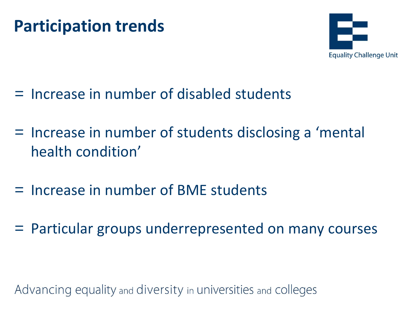### **Participation trends**



- = Increase in number of disabled students
- = Increase in number of students disclosing a 'mental health condition'
- = Increase in number of BME students
- = Particular groups underrepresented on many courses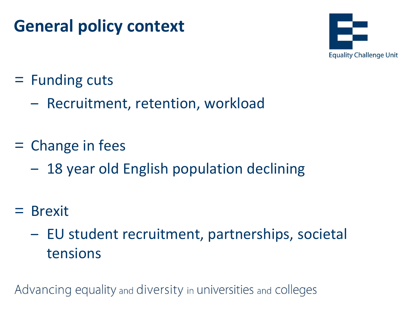## **General policy context**



- = Funding cuts
	- ‒ Recruitment, retention, workload
- = Change in fees
	- 18 year old English population declining
- = Brexit
	- ‒ EU student recruitment, partnerships, societal tensions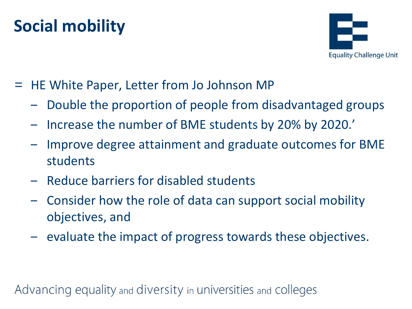## **Social mobility**



- = HE White Paper, Letter from Jo Johnson MP
	- ‒ Double the proportion of people from disadvantaged groups
	- Increase the number of BME students by 20% by 2020.'
	- ‒ Improve degree attainment and graduate outcomes for BME students
	- ‒ Reduce barriers for disabled students
	- ‒ Consider how the role of data can support social mobility objectives, and
	- ‒ evaluate the impact of progress towards these objectives.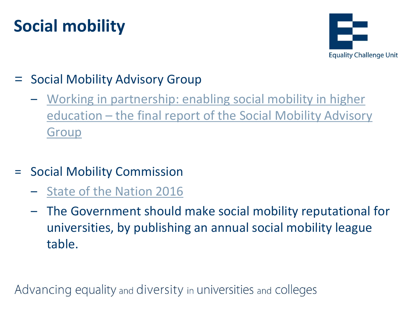# **Social mobility**



### Social Mobility Advisory Group

- ‒ [Working in partnership: enabling social mobility in higher](http://www.universitiesuk.ac.uk/policy-and-analysis/reports/Pages/working-in-partnership-enabling-social-mobility-in-higher-education.aspx)  education – the final report of the Social Mobility Advisory **Group**
- = Social Mobility Commission
	- ‒ [State of the Nation 2016](https://www.gov.uk/government/uploads/system/uploads/attachment_data/file/569410/Social_Mobility_Commission_2016_REPORT_WEB__1__.pdf)
	- ‒ The Government should make social mobility reputational for universities, by publishing an annual social mobility league table.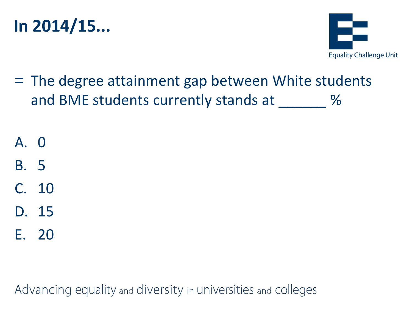



= The degree attainment gap between White students and BME students currently stands at 2008 %

A. 0

- B. 5
- C. 10
- D. 15
- E. 20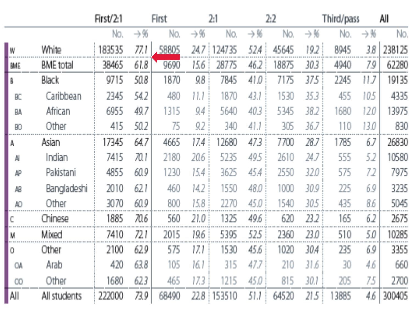|             |                  | First/2:1 |       | First |                 | 2:1    |                 | 2:2   |                 | Third/pass |                 | All    |
|-------------|------------------|-----------|-------|-------|-----------------|--------|-----------------|-------|-----------------|------------|-----------------|--------|
|             |                  | No.       | →%    | No.   | $\rightarrow$ % | No.    | $\rightarrow$ % | No.   | $\rightarrow$ % | No.        | $\rightarrow$ % | No.    |
| W           | White            | 183535    | 77.1  | 58805 | 24.7            | 124735 | 524             | 45645 | 19.2            | 8945       | 3,8             | 238125 |
| BME         | <b>BME</b> total | 38465     | 61.8  | 9690  | 15.6            | 28775  | 46.2            | 18875 | 30.3            | 4940       | 7.9             | 62280  |
| B           | Black            | 9715      | 50.8  | 1870  | 98              | 7845   | 41.0            | 7175  | 37.5            | 2245       | 11.7            | 19135  |
| BC          | Caribbean        | 2345      | 54.2  | 480   | 11.1            | 1870   | 43.1            | 1530  | 35.3            | 455        | 10.5            | 4335   |
| BA          | <b>African</b>   | 6955      | 49.7  | 1315  | 94              | 5640   | 40.3            | 5345  | 38.2            | 1680       | 12.0            | 13975  |
| BO.         | Other            | 415       | 50.2  | 75    | 9.2             | 340    | 41.1            | 305   | 36.7            | 110        | 13.0            | 830    |
| A,          | Asian,           | 17345     | 64.7  | 4665  | 17.4            | 12680  | 47.3            | 7700  | 28.7            | 1785       | 6.7             | 26830  |
| AI          | Indian           | 7415      | 70. I | 2180  | 20.6            | 5235   | 49.5            | 2610  | 24.7            | 555        | 5.2             | 10580  |
| АP          | Pakistani        | 4855      | 60.9  | 1230  | 15.4            | 3625   | 45,4            | 2550  | 32.0            | 575        | 7.2             | 7975   |
| AB.         | Bangladeshi      | 2010      | 62.1  | 460   | 14.2            | 1550   | 48.0            | 1000  | 30.9            | 225        | 6,9             | 3235   |
| AO.         | Other            | 3070      | 60.9  | 800   | 15.8            | 2270   | 45.0            | 1540  | 30.5            | 435        | 8.6             | 5045   |
|             | Chinese          | 1885      | 70.6  | 560   | 21.0            | 1325   | 49,6            | 620   | 23.2            | 165        | 6,2             | 2675   |
| M           | Mixed            | 7410      | 72.I  | 2015  | 19.6            | 5395   | 525             | 2360  | 23.0            | 510        | 5,0             | 10285  |
| $\mathbb O$ | Other            | 2100      | 62.9  | 575   | 17.1            | 1530   | 45.6            | 1020  | 30.4            | 235        | 6,9             | 3355   |
| <b>OA</b>   | Arab             | 420       | 63.8  | 105   | 16.1            | 315    | 47.7            | 210   | 31.6            | 30         | 4,6             | 660    |
| OO.         | Other            | 1680      | 623   | 465   | 17.3            | 1215   | 45.0            | 815   | 30.1            | 205        | 75              | 2700   |
| AΙΙ         | All students     | 222000    | 73.9  | 68490 | 22.8            | 153510 | 51.1            | 64520 | 21.5            | 13885      | 4,6             | 300405 |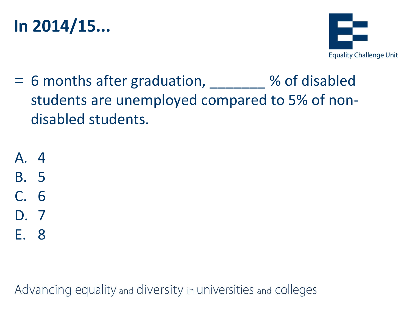### **In 2014/15...**



- = 6 months after graduation, \_\_\_\_\_\_\_ % of disabled students are unemployed compared to 5% of nondisabled students.
- A. 4 B. 5 C. 6 D. 7 E. 8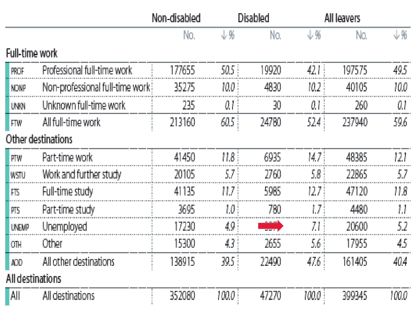|                       |                                 | Non-disabled |       | Disabled | All leavers |        |       |
|-----------------------|---------------------------------|--------------|-------|----------|-------------|--------|-------|
|                       |                                 | No.          | 支聚    | No.      | 山縣          | No.    | 山%    |
| <b>Full-time work</b> |                                 |              |       |          |             |        |       |
| <b>PROF</b>           | Professional full-time work     | 177655       | 50.5  | 19920    | 42 L I      | 197575 | 49.5  |
| <b>NONP</b>           | Non-professional full-time work | 35275        | 10.0  | 4830     | 10.2        | 40105  | 10.0  |
| UNKN                  | Unknown full-time work          | 235          | Q.I   | 30       | 0.1         | 260    | 0.1   |
| FTW                   | All full-time work              | 213160       | 60.5  | 24780    | 524         | 237940 | 59.6  |
|                       | Other destinations              |              |       |          |             |        |       |
| PTW <sub></sub>       | Part-time work                  | 41450        | 1.8   | 6935     | 14.7 i      | 48385  | 121   |
| <b>WSTU</b>           | Work and further study          | 20105        | 57.   | 2760     | 5.8 :       | 22865  | 5.7   |
| FIS                   | Full-time study                 | 41135        | 11.7  | 5985     | 12.7 i      | 47120  | 11.8  |
| PTS.                  | Part-time study                 | 3695         | 1.0   | 780      | 1.7 i       | 4480   |       |
| <b>UNEMP</b>          | Unemployed                      | 17230        | 49    |          | ΖI          | 20600  | 52.   |
| OTH                   | Other                           | 15300        | 43.   | 2655     | 5,6         | 17955  | 45    |
| AOD                   | All other destinations          | 138915       | 39.5  | 22490    | 47.6        | 161405 | 40.4  |
| All destinations      |                                 |              |       |          |             |        |       |
| Αll                   | All destinations                | 352080       | 100.0 | 47270    | 100.0       | 399345 | 100.0 |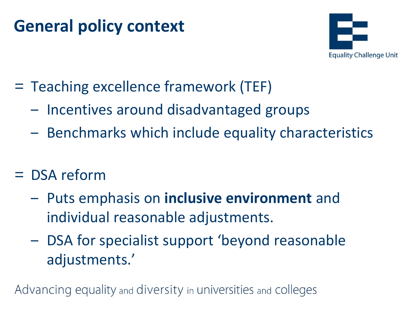## **General policy context**



- = Teaching excellence framework (TEF)
	- ‒ Incentives around disadvantaged groups
	- Benchmarks which include equality characteristics
- = DSA reform
	- ‒ Puts emphasis on **inclusive environment** and individual reasonable adjustments.
	- ‒ DSA for specialist support 'beyond reasonable adjustments.'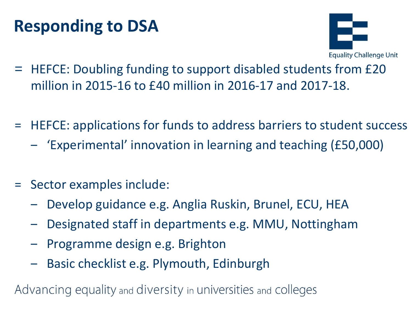# **Responding to DSA**



- = HEFCE: Doubling funding to support disabled students from £20 million in 2015-16 to £40 million in 2016-17 and 2017-18.
- = HEFCE: applications for funds to address barriers to student success
	- ‒ 'Experimental' innovation in learning and teaching (£50,000)
- = Sector examples include:
	- ‒ Develop guidance e.g. Anglia Ruskin, Brunel, ECU, HEA
	- ‒ Designated staff in departments e.g. MMU, Nottingham
	- ‒ Programme design e.g. Brighton
	- ‒ Basic checklist e.g. Plymouth, Edinburgh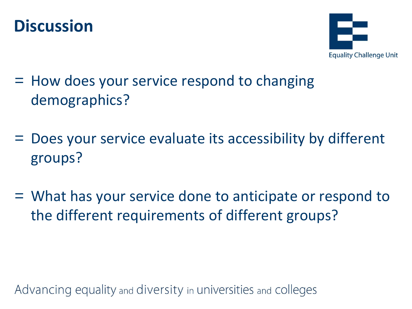



- = How does your service respond to changing demographics?
- = Does your service evaluate its accessibility by different groups?
- = What has your service done to anticipate or respond to the different requirements of different groups?